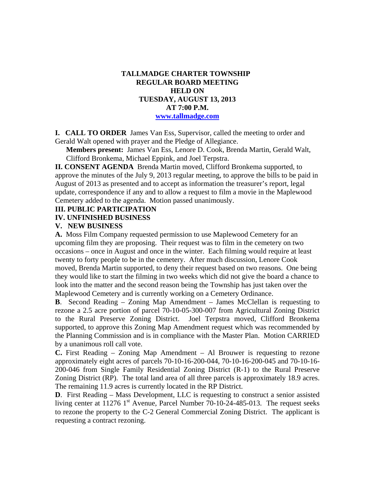# **TALLMADGE CHARTER TOWNSHIP REGULAR BOARD MEETING HELD ON TUESDAY, AUGUST 13, 2013 AT 7:00 P.M. www.tallmadge.com**

**I. CALL TO ORDER** James Van Ess, Supervisor, called the meeting to order and Gerald Walt opened with prayer and the Pledge of Allegiance.

**Members present:** James Van Ess, Lenore D. Cook, Brenda Martin, Gerald Walt, Clifford Bronkema, Michael Eppink, and Joel Terpstra.

**II. CONSENT AGENDA** Brenda Martin moved, Clifford Bronkema supported, to approve the minutes of the July 9, 2013 regular meeting, to approve the bills to be paid in August of 2013 as presented and to accept as information the treasurer's report, legal update, correspondence if any and to allow a request to film a movie in the Maplewood Cemetery added to the agenda. Motion passed unanimously.

### **III. PUBLIC PARTICIPATION**

#### **IV. UNFINISHED BUSINESS**

#### **V. NEW BUSINESS**

**A.** Moss Film Company requested permission to use Maplewood Cemetery for an upcoming film they are proposing. Their request was to film in the cemetery on two occasions – once in August and once in the winter. Each filming would require at least twenty to forty people to be in the cemetery. After much discussion, Lenore Cook moved, Brenda Martin supported, to deny their request based on two reasons. One being they would like to start the filming in two weeks which did not give the board a chance to look into the matter and the second reason being the Township has just taken over the Maplewood Cemetery and is currently working on a Cemetery Ordinance.

**B**. Second Reading – Zoning Map Amendment – James McClellan is requesting to rezone a 2.5 acre portion of parcel 70-10-05-300-007 from Agricultural Zoning District to the Rural Preserve Zoning District. Joel Terpstra moved, Clifford Bronkema supported, to approve this Zoning Map Amendment request which was recommended by the Planning Commission and is in compliance with the Master Plan. Motion CARRIED by a unanimous roll call vote.

**C.** First Reading – Zoning Map Amendment – Al Brouwer is requesting to rezone approximately eight acres of parcels 70-10-16-200-044, 70-10-16-200-045 and 70-10-16- 200-046 from Single Family Residential Zoning District (R-1) to the Rural Preserve Zoning District (RP). The total land area of all three parcels is approximately 18.9 acres. The remaining 11.9 acres is currently located in the RP District.

**D**.First Reading – Mass Development, LLC is requesting to construct a senior assisted living center at  $11276$  1<sup>st</sup> Avenue, Parcel Number 70-10-24-485-013. The request seeks to rezone the property to the C-2 General Commercial Zoning District. The applicant is requesting a contract rezoning.